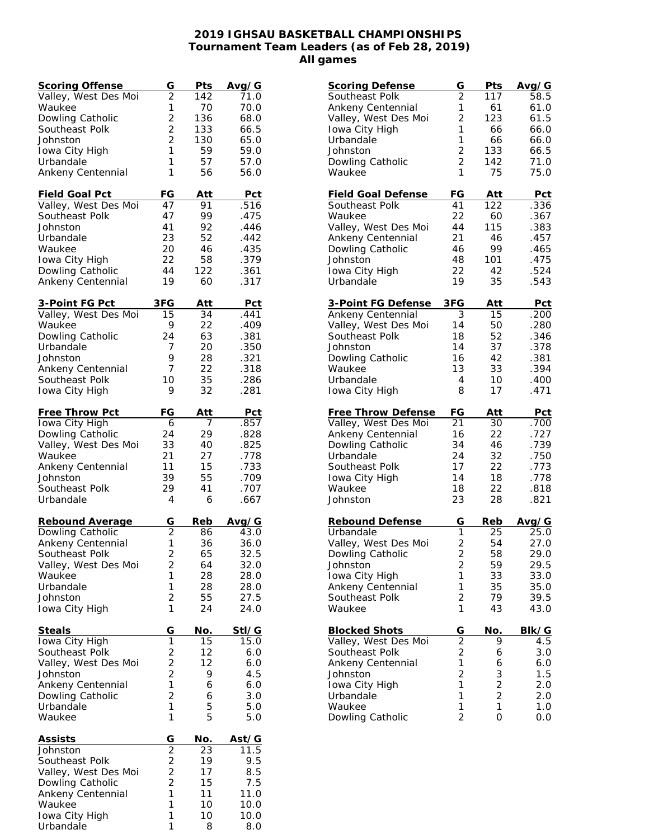## **2019 IGHSAU BASKETBALL CHAMPIONSHIPS Tournament Team Leaders (as of Feb 28, 2019) All games**

| <b>Scoring Offense</b> | G                           | Pts | Avg/G      |
|------------------------|-----------------------------|-----|------------|
| Valley, West Des Moi   | $\overline{2}$              | 142 | 71.0       |
| Waukee                 | 1                           | 70  | 70.0       |
| Dowling Catholic       | $\overline{2}$              | 136 | 68.0       |
| Southeast Polk         | $\overline{2}$              | 133 | 66.5       |
| Johnston               | $\overline{2}$              | 130 | 65.0       |
|                        |                             |     |            |
| Iowa City High         | 1                           | 59  | 59.0       |
| Urbandale              | 1                           | 57  | 57.0       |
| Ankeny Centennial      | 1                           | 56  | 56.0       |
|                        |                             |     |            |
| Field Goal Pct         | FG                          | Att | Pct        |
| Valley, West Des Moi   | 47                          | 91  | .516       |
| Southeast Polk         | 47                          | 99  | .475       |
| Johnston               | 41                          | 92  | .446       |
| Urbandale              | 23                          | 52  | .442       |
| Waukee                 | 20                          | 46  | .435       |
| Iowa City High         | 22                          | 58  | .379       |
| Dowling Catholic       | 44                          | 122 | .361       |
| Ankeny Centennial      | 19                          | 60  | .317       |
|                        |                             |     |            |
| 3-Point FG Pct         | 3FG                         | Att | Pct        |
| Valley, West Des Moi   | 15                          | 34  | .441       |
| Waukee                 | 9                           | 22  | .409       |
| Dowling Catholic       | 24                          | 63  | .381       |
| Urbandale              | 7                           | 20  | .350       |
|                        |                             | 28  | .321       |
| Johnston               | 9                           |     |            |
| Ankeny Centennial      | 7                           | 22  | .318       |
| Southeast Polk         | 10                          | 35  | .286       |
| Iowa City High         | 9                           | 32  | .281       |
|                        |                             |     |            |
| Free Throw Pct         | FG                          | Att | <b>Pct</b> |
| Iowa City High         | 6                           | 7   | .857       |
| Dowling Catholic       | 24                          | 29  | .828       |
| Valley, West Des Moi   | 33                          | 40  | .825       |
| Waukee                 | 21                          | 27  | .778       |
| Ankeny Centennial      | 11                          | 15  | .733       |
| Johnston               | 39                          | 55  | .709       |
| Southeast Polk         | 29                          | 41  | .707       |
| Urbandale              | 4                           | 6   | .667       |
|                        |                             |     |            |
| Rebound Average        | G                           | Reb | Avg/G      |
| Dowling Catholic       | $\overline{2}$              | 86  | 43.0       |
| Ankeny Centennial      | 1                           | 36  | 36.0       |
| Southeast Polk         | $\overline{\mathbf{c}}$     | 65  | 32.5       |
| Valley, West Des Moi   | 2                           | 64  | 32.0       |
| Waukee                 | 1                           | 28  | 28.0       |
| Urbandale              | $\mathbf{1}$                | 28  | 28.0       |
| Johnston               | $\overline{c}$              | 55  | 27.5       |
|                        | 1                           | 24  |            |
| Iowa City High         |                             |     | 24.0       |
| <b>Steals</b>          | G                           | No. | Stl/G      |
| Iowa City High         | $\overline{1}$              | 15  | 15.0       |
| Southeast Polk         | $\overline{c}$              | 12  | 6.0        |
|                        | $\overline{2}$              | 12  | 6.0        |
| Valley, West Des Moi   |                             |     |            |
| Johnston               | $\overline{c}$              | 9   | 4.5        |
| Ankeny Centennial      | 1                           | 6   | 6.0        |
| Dowling Catholic       | $\overline{c}$              | 6   | 3.0        |
| Urbandale              | 1                           | 5   | 5.0        |
| Waukee                 | 1                           | 5   | 5.0        |
|                        |                             |     |            |
| <b>Assists</b>         | $\frac{G}{2}$ $\frac{2}{2}$ | No. | Ast/G      |
| Johnston               |                             | 23  | 11.5       |
| Southeast Polk         |                             | 19  | 9.5        |
| Valley, West Des Moi   |                             | 17  | 8.5        |
| Dowling Catholic       |                             | 15  | 7.5        |
| Ankeny Centennial      | $\mathbf{1}$                | 11  | 11.0       |
| Waukee                 | 1                           | 10  | 10.0       |
| Iowa City High         | 1                           | 10  | 10.0       |
| Urbandale              | 1                           | 8   | 8.0        |

| <b>Scoring Defense</b>     | G                   | Pts              | Avg/G      |
|----------------------------|---------------------|------------------|------------|
| Southeast Polk             | $\overline{c}$      | $\overline{117}$ | 58.5       |
| Ankeny Centennial          | 1                   | 61               | 61.0       |
| Valley, West Des Moi       | $\overline{2}$      | 123              | 61.5       |
| Iowa City High             | 1                   | 66               | 66.0       |
| Urbandale                  | 1                   | 66               | 66.0       |
| Johnston                   | $\overline{2}$      | 133              | 66.5       |
| Dowling Catholic           | $\overline{2}$      | 142              | 71.0       |
| Waukee                     | 1                   | 75               | 75.0       |
| <b>Field Goal Defense</b>  | FG                  | Att              | Pct        |
| Southeast Polk             | 41                  | 122              | .336       |
| Waukee                     | 22                  | 60               | .367       |
| Valley, West Des Moi       | 44                  | 115              | .383       |
| Ankeny Centennial          | 21                  | 46               | .457       |
| Dowling Catholic           | 46                  | 99               | .465       |
| Johnston                   | 48                  | 101              | .475       |
| Iowa City High             | 22                  | 42               | .524       |
| Urbandale                  | 19                  | 35               | .543       |
| 3-Point FG Defense         | 3FG                 | <u>Att</u>       | <u>Pct</u> |
| Ankeny Centennial          | 3                   | 15               | .200       |
| Valley, West Des Moi       | 14                  | 50               | .280       |
| Southeast Polk             | 18                  | 52               | .346       |
| Johnston                   | 14                  | 37               | .378       |
| Dowling Catholic           | 16                  | 42               | .381       |
| Waukee                     | 13                  | 33               | .394       |
| Urbandale                  | 4                   | 10               | .400       |
| Iowa City High             | 8                   | 17               | .471       |
| <b>Free Throw Defense</b>  | FG                  | Att              | <u>Pct</u> |
| Valley, West Des Moi       | 21                  | 30               | .700       |
| Ankeny Centennial          | 16                  | 22               | .727       |
| Dowling Catholic           | 34                  | 46               | .739       |
| Urbandale                  | 24                  | 32               | .750       |
| Southeast Polk             | 17                  | 22               | .773       |
| Iowa City High             | 14                  | 18               | .778       |
| Waukee                     | 18                  | 22               | .818       |
| Johnston                   | 23                  | 28               | .821       |
| Rebound Defense            | G                   | Reb              | Avg/G      |
| Urbandale                  | 1                   | 25               | 25.0       |
| Valley, West Des Moi       | $\overline{c}$      | 54               | 27.0       |
| Dowling Catholic           | $\overline{2}$      | 58               | 29.0       |
| Johnston                   | $\overline{c}$      | 59               | 29.5       |
| Iowa City High             | 1                   | 33               | 33.0       |
| Ankeny Centennial          | 1                   | 35               | 35.0       |
| Southeast Polk             | $\overline{c}$      | 79               | 39.5       |
| Waukee                     | 1                   | 43               | 43.0       |
| <b>Blocked Shots</b>       | G                   | No.              | Blk/G      |
| Valley, West Des Moi       | $\frac{2}{2}$       | 9                | 4.5        |
| Southeast Polk             |                     | 6                | 3.0        |
|                            |                     |                  |            |
| Ankeny Centennial          | $\mathbf{1}$        | 6                | 6.0        |
| Johnston                   | $\overline{c}$      |                  | 1.5        |
| Iowa City High             | $\mathbf{1}$        |                  | 2.0        |
| Urbandale                  | 1                   | 3<br>2<br>2      | 2.0        |
| Waukee<br>Dowling Catholic | 1<br>$\overline{2}$ | 1<br>0           | 1.0<br>0.0 |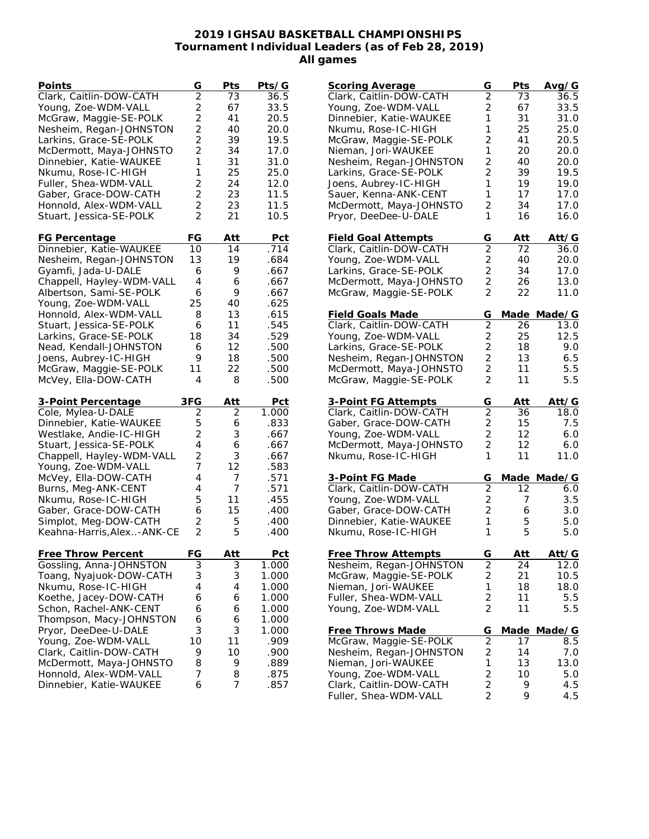## **2019 IGHSAU BASKETBALL CHAMPIONSHIPS Tournament Individual Leaders (as of Feb 28, 2019) All games**

| Points                                            | G                                | Pts        | Pts/G             |
|---------------------------------------------------|----------------------------------|------------|-------------------|
| Clark, Caitlin-DOW-CATH                           | $\overline{2}$                   | 73         | 36.5              |
| Young, Zoe-WDM-VALL                               |                                  | 67         | 33.5              |
| McGraw, Maggie-SE-POLK                            | $\frac{2}{2}$                    | 41         | 20.5              |
| Nesheim, Regan-JOHNSTON                           | $\overline{c}$                   | 40         | 20.0              |
| Larkins, Grace-SE-POLK                            | $\overline{2}$                   | 39         | 19.5              |
| McDermott, Maya-JOHNSTO                           | $\overline{2}$                   | 34         | 17.0              |
| Dinnebier, Katie-WAUKEE                           | 1                                | 31         | 31.0              |
| Nkumu, Rose-IC-HIGH                               | 1                                | 25         | 25.0              |
| Fuller, Shea-WDM-VALL                             | $\overline{2}$                   | 24         | 12.0              |
|                                                   | $\overline{c}$                   |            | 11.5              |
| Gaber, Grace-DOW-CATH                             |                                  | 23         |                   |
| Honnold, Alex-WDM-VALL                            | $\overline{2}$<br>$\overline{2}$ | 23         | 11.5              |
| Stuart, Jessica-SE-POLK                           |                                  | 21         | 10.5              |
| <b>FG Percentage</b>                              | FG                               | Att        | Pct               |
| Dinnebier, Katie-WAUKEE                           | 10                               | 14         | $.71\overline{4}$ |
| Nesheim, Regan-JOHNSTON                           | 13                               | 19         | .684              |
| Gyamfi, Jada-U-DALE                               | 6                                | 9          | .667              |
| Chappell, Hayley-WDM-VALL                         | 4                                | 6          | .667              |
| Albertson, Sami-SE-POLK                           | 6                                | 9          | .667              |
| Young, Zoe-WDM-VALL                               | 25                               | 40         | .625              |
| Honnold, Alex-WDM-VALL                            | 8                                | 13         | .615              |
| Stuart, Jessica-SE-POLK                           | 6                                | 11         | .545              |
| Larkins, Grace-SE-POLK                            | 18                               | 34         | .529              |
|                                                   |                                  | 12         |                   |
| Nead, Kendall-JOHNSTON                            | 6                                |            | .500              |
| Joens, Aubrey-IC-HIGH                             | 9                                | 18         | .500              |
|                                                   | 11                               | 22         | .500              |
| McGraw, Maggie-SE-POLK                            |                                  |            |                   |
| McVey, Ella-DOW-CATH                              | 4                                | 8          | .500              |
| 3-Point Percentage                                | 3FG                              | Att        | Pct               |
| Cole, Mylea-U-DALE                                | $\overline{2}$                   | 2          | 1.000             |
| Dinnebier, Katie-WAUKEE                           | 5                                | 6          | .833              |
|                                                   | 2                                | 3          | .667              |
| Westlake, Andie-IC-HIGH                           | $\overline{4}$                   |            |                   |
| Stuart, Jessica-SE-POLK                           |                                  | 6          | .667<br>.667      |
| Chappell, Hayley-WDM-VALL                         | 2<br>7                           | 3          |                   |
| Young, Zoe-WDM-VALL                               |                                  | 12         | .583              |
| McVey, Ella-DOW-CATH                              | $\overline{4}$                   | 7          | .571              |
| Burns, Meg-ANK-CENT                               | $\overline{4}$                   | 7          | .571              |
| Nkumu, Rose-IC-HIGH                               | 5                                | 11         | .455              |
| Gaber, Grace-DOW-CATH                             | 6                                | 15         | .400              |
| Simplot, Meg-DOW-CATH                             | 2                                | 5          | .400              |
| Keahna-Harris, Alex-ANK-CE                        | $\overline{2}$                   | 5          | .400              |
| <b>Free Throw Percent</b>                         | FG                               | <u>Att</u> | Pct               |
| Gossling, Anna-JOHNSTON                           | 3                                | 3          | 1.000             |
| Toang, Nyajuok-DOW-CATH                           | 3                                | 3          | 1.000             |
| Nkumu, Rose-IC-HIGH                               | 4                                | 4          | 1.000             |
| Koethe, Jacey-DOW-CATH                            | 6                                | 6          | 1.000             |
| Schon, Rachel-ANK-CENT                            | 6                                | 6          | 1.000             |
| Thompson, Macy-JOHNSTON                           | 6                                | 6          | 1.000             |
|                                                   | 3                                | 3          | 1.000             |
| Pryor, DeeDee-U-DALE                              | 10                               | 11         | .909              |
| Young, Zoe-WDM-VALL                               | 9                                | 10         |                   |
| Clark, Caitlin-DOW-CATH                           |                                  | 9          | .900              |
| McDermott, Maya-JOHNSTO<br>Honnold, Alex-WDM-VALL | 8<br>7                           | 8          | .889<br>.875      |

| <u>Scoring Average</u>                                                  | G                                | <b>Pts</b> | <u>Avg/G</u> |
|-------------------------------------------------------------------------|----------------------------------|------------|--------------|
| Clark, Caitlin-DOW-CATH                                                 | $\overline{2}$                   | 73         | 36.5         |
| Young, Zoe-WDM-VALL                                                     | $\overline{2}$                   | 67         | 33.5         |
| Dinnebier, Katie-WAUKEE                                                 | 1                                | 31         | 31.0         |
| Nkumu, Rose-IC-HIGH                                                     | 1                                | 25         | 25.0         |
| McGraw, Maggie-SE-POLK                                                  | $\overline{2}$                   | 41         | 20.5         |
|                                                                         | 1                                |            |              |
| Nieman, Jori-WAUKEE                                                     |                                  | 20         | 20.0         |
| Nesheim, Regan-JOHNSTON                                                 | $\overline{2}$                   | 40         | 20.0         |
| Larkins, Grace-SE-POLK                                                  | $\overline{2}$                   | 39         | 19.5         |
| Joens, Aubrey-IC-HIGH                                                   | 1                                | 19         | 19.0         |
| Sauer, Kenna-ANK-CENT                                                   | 1                                | 17         | 17.0         |
| McDermott, Maya-JOHNSTO                                                 | 2                                | 34         | 17.0         |
| Pryor, DeeDee-U-DALE                                                    | 1                                | 16         | 16.0         |
| <b>Field Goal Attempts</b>                                              | G                                | Att        | Att/G        |
| Clark, Caitlin-DOW-CATH                                                 | $\overline{2}$                   | 72         | 36.0         |
| Young, Zoe-WDM-VALL                                                     | $\overline{2}$                   | 40         | 20.0         |
| Larkins, Grace-SE-POLK                                                  | $\overline{c}$                   | 34         | 17.0         |
| McDermott, Maya-JOHNSTO                                                 |                                  | 26         | 13.0         |
| McGraw, Maggie-SE-POLK                                                  | $\frac{2}{2}$                    | 22         | 11.0         |
|                                                                         |                                  |            |              |
| <b>Field Goals Made</b>                                                 | G                                | Made       | Made/G       |
| Clark, Caitlin-DOW-CATH                                                 | $\overline{2}$                   | 26         | 13.0         |
| Young, Zoe-WDM-VALL                                                     | $\overline{c}$                   | 25         | 12.5         |
| Larkins, Grace-SE-POLK                                                  | $\overline{c}$                   | 18         | 9.0          |
| Nesheim, Regan-JOHNSTON                                                 | $\overline{\mathbf{c}}$          | 13         | 6.5          |
| McDermott, Maya-JOHNSTO                                                 | $\overline{2}$                   | 11         | 5.5          |
| McGraw, Maggie-SE-POLK                                                  | $\overline{2}$                   | 11         | 5.5          |
|                                                                         |                                  |            |              |
| 3-Point FG Attempts                                                     | G                                | Att        | Att/G        |
| Clark, Caitlin-DOW-CATH                                                 | $\overline{2}$                   | 36         | 18.0         |
|                                                                         |                                  | 15         | 7.5          |
|                                                                         | $\overline{c}$                   |            |              |
| Young, Zoe-WDM-VALL                                                     |                                  | 12         | 6.0          |
| Gaber, Grace-DOW-CATH<br>McDermott, Maya-JOHNSTO<br>Nkumu, Rose-IC-HIGH | $\frac{2}{2}$<br>1               | 12<br>11   | 6.0<br>11.0  |
|                                                                         |                                  |            |              |
| 3-Point FG Made                                                         | G                                |            | Made Made/G  |
| Clark, Caitlin-DOW-CATH                                                 | $\overline{2}$                   | 12         | 6.0          |
| Young, Zoe-WDM-VALL                                                     | $\overline{2}$                   | 7          | 3.5          |
| Gaber, Grace-DOW-CATH                                                   | $\overline{c}$                   | 6          | 3.0          |
| Dinnebier, Katie-WAUKEE                                                 | 1                                | 5          | 5.0          |
| Nkumu, Rose-IC-HIGH                                                     | 1                                | 5          | 5.0          |
|                                                                         |                                  | Att        |              |
| Free Throw Attempts                                                     |                                  |            | Att/G        |
| Nesheim, Regan-JOHNSTON                                                 | $\overline{2}$                   | 24         | 12.0         |
| McGraw, Maggie-SE-POLK                                                  | $\overline{2}$                   | 21         | 10.5         |
| Nieman, Jori-WAUKEE                                                     | 1                                | 18         | 18.0         |
| Fuller, Shea-WDM-VALL<br>Young, Zoe-WDM-VALL                            | $\overline{2}$<br>$\overline{2}$ | 11<br>11   | 5.5<br>5.5   |
|                                                                         |                                  |            |              |
| Free Throws Made                                                        | G                                | Made       | Made/G       |
| McGraw, Maggie-SE-POLK                                                  | $\overline{2}$                   | 17         | 8.5          |
| Nesheim, Regan-JOHNSTON                                                 | $\overline{c}$                   | 14         | 7.0          |
| Nieman, Jori-WAUKEE                                                     | 1                                | 13         | 13.0         |
| Young, Zoe-WDM-VALL                                                     | $\overline{2}$                   | 10         | 5.0          |
| Clark, Caitlin-DOW-CATH<br>Fuller, Shea-WDM-VALL                        | $\overline{2}$<br>$\overline{2}$ | 9<br>9     | 4.5<br>4.5   |